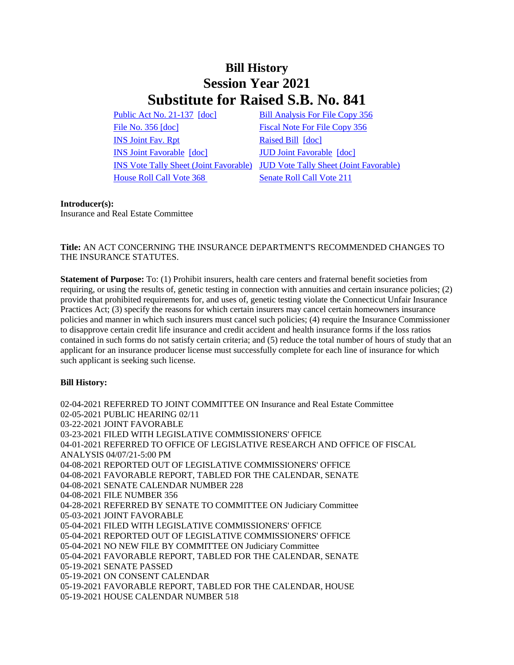# **Bill History Session Year 2021 Substitute for Raised S.B. No. 841**

[Public Act No. 21-137](/2021/ACT/PA/PDF/2021PA-00137-R00SB-00841-PA.PDF) [\[doc\]](https://search.cga.state.ct.us/dl2021/PA/DOC/2021PA-00137-R00SB-00841-PA.DOCX) [Bill Analysis For File Copy 356](/2021/BA/PDF/2021SB-00841-R000356-BA.PDF) [File No. 356](/2021/FC/PDF/2021SB-00841-R000356-FC.PDF) [\[doc\]](/2021/FC/PDF/2021SB-00841-R000356-FC.PDF) [Fiscal Note For File Copy 356](/2021/FN/PDF/2021SB-00841-R000356-FN.PDF) [INS Joint Fav. Rpt](/2021/JFR/S/PDF/2021SB-00841-R00INS-JFR.PDF) [Raised Bill](/2021/TOB/S/PDF/2021SB-00841-R00-SB.PDF) [\[doc\]](https://search.cga.state.ct.us/dl2021/TOB/DOC/2021SB-00841-R00-SB.DOCX) [INS Joint Favorable](/2021/TOB/S/PDF/2021SB-00841-R01-SB.PDF) [\[doc\]](https://search.cga.state.ct.us/dl2021/TOB/DOC/2021SB-00841-R01-SB.DOCX) [JUD Joint Favorable](/2021/TOB/S/PDF/2021SB-00841-R02-SB.PDF) [\[doc\]](https://search.cga.state.ct.us/dl2021/TOB/DOC/2021SB-00841-R02-SB.DOCX) [House Roll Call Vote 368](/2021/VOTE/H/PDF/2021HV-00368-R00SB00841-HV.PDF) [Senate Roll Call Vote 211](/2021/VOTE/S/PDF/2021SV-00211-R00SB00841-SV.PDF) 

[INS Vote Tally Sheet \(Joint Favorable\)](/2021/TS/S/PDF/2021SB-00841-R00INS-CV16-TS.PDF) [JUD Vote Tally Sheet \(Joint Favorable\)](/2021/TS/S/PDF/2021SB-00841-R00JUD-CV173-TS.PDF)

## **Introducer(s):**

Insurance and Real Estate Committee

## **Title:** AN ACT CONCERNING THE INSURANCE DEPARTMENT'S RECOMMENDED CHANGES TO THE INSURANCE STATUTES.

**Statement of Purpose:** To: (1) Prohibit insurers, health care centers and fraternal benefit societies from requiring, or using the results of, genetic testing in connection with annuities and certain insurance policies; (2) provide that prohibited requirements for, and uses of, genetic testing violate the Connecticut Unfair Insurance Practices Act; (3) specify the reasons for which certain insurers may cancel certain homeowners insurance policies and manner in which such insurers must cancel such policies; (4) require the Insurance Commissioner to disapprove certain credit life insurance and credit accident and health insurance forms if the loss ratios contained in such forms do not satisfy certain criteria; and (5) reduce the total number of hours of study that an applicant for an insurance producer license must successfully complete for each line of insurance for which such applicant is seeking such license.

## **Bill History:**

02-04-2021 REFERRED TO JOINT COMMITTEE ON Insurance and Real Estate Committee 02-05-2021 PUBLIC HEARING 02/11 03-22-2021 JOINT FAVORABLE 03-23-2021 FILED WITH LEGISLATIVE COMMISSIONERS' OFFICE 04-01-2021 REFERRED TO OFFICE OF LEGISLATIVE RESEARCH AND OFFICE OF FISCAL ANALYSIS 04/07/21-5:00 PM 04-08-2021 REPORTED OUT OF LEGISLATIVE COMMISSIONERS' OFFICE 04-08-2021 FAVORABLE REPORT, TABLED FOR THE CALENDAR, SENATE 04-08-2021 SENATE CALENDAR NUMBER 228 04-08-2021 FILE NUMBER 356 04-28-2021 REFERRED BY SENATE TO COMMITTEE ON Judiciary Committee 05-03-2021 JOINT FAVORABLE 05-04-2021 FILED WITH LEGISLATIVE COMMISSIONERS' OFFICE 05-04-2021 REPORTED OUT OF LEGISLATIVE COMMISSIONERS' OFFICE 05-04-2021 NO NEW FILE BY COMMITTEE ON Judiciary Committee 05-04-2021 FAVORABLE REPORT, TABLED FOR THE CALENDAR, SENATE 05-19-2021 SENATE PASSED 05-19-2021 ON CONSENT CALENDAR 05-19-2021 FAVORABLE REPORT, TABLED FOR THE CALENDAR, HOUSE 05-19-2021 HOUSE CALENDAR NUMBER 518